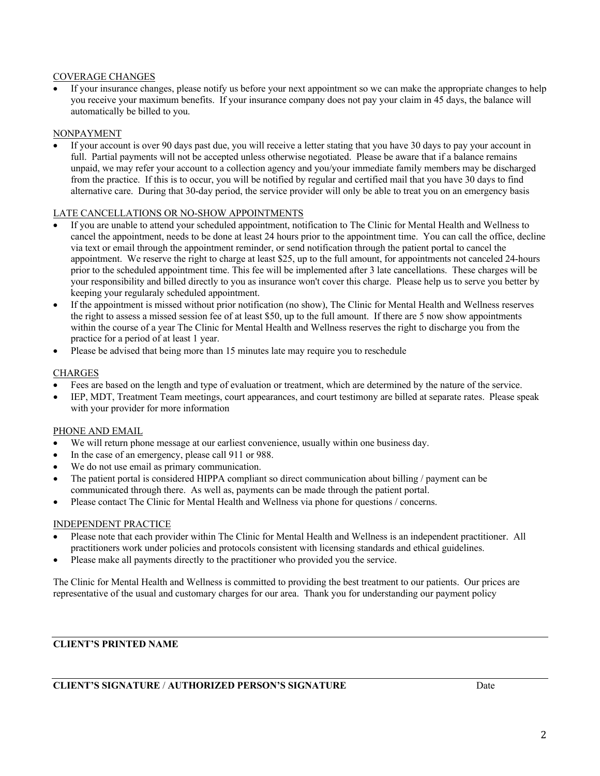### COVERAGE CHANGES

If your insurance changes, please notify us before your next appointment so we can make the appropriate changes to help you receive your maximum benefits. If your insurance company does not pay your claim in 45 days, the balance will automatically be billed to you.

#### NONPAYMENT

• If your account is over 90 days past due, you will receive a letter stating that you have 30 days to pay your account in full. Partial payments will not be accepted unless otherwise negotiated. Please be aware that if a balance remains unpaid, we may refer your account to a collection agency and you/your immediate family members may be discharged from the practice. If this is to occur, you will be notified by regular and certified mail that you have 30 days to find alternative care. During that 30-day period, the service provider will only be able to treat you on an emergency basis

#### LATE CANCELLATIONS OR NO-SHOW APPOINTMENTS

- If you are unable to attend your scheduled appointment, notification to The Clinic for Mental Health and Wellness to cancel the appointment, needs to be done at least 24 hours prior to the appointment time. You can call the office, decline via text or email through the appointment reminder, or send notification through the patient portal to cancel the appointment. We reserve the right to charge at least \$25, up to the full amount, for appointments not canceled 24-hours prior to the scheduled appointment time. This fee will be implemented after 3 late cancellations. These charges will be your responsibility and billed directly to you as insurance won't cover this charge. Please help us to serve you better by keeping your regularaly scheduled appointment.
- If the appointment is missed without prior notification (no show), The Clinic for Mental Health and Wellness reserves the right to assess a missed session fee of at least \$50, up to the full amount. If there are 5 now show appointments within the course of a year The Clinic for Mental Health and Wellness reserves the right to discharge you from the practice for a period of at least 1 year.
- Please be advised that being more than 15 minutes late may require you to reschedule

#### CHARGES

- Fees are based on the length and type of evaluation or treatment, which are determined by the nature of the service.
- IEP, MDT, Treatment Team meetings, court appearances, and court testimony are billed at separate rates. Please speak with your provider for more information

### PHONE AND EMAIL

- We will return phone message at our earliest convenience, usually within one business day.
- In the case of an emergency, please call 911 or 988.
- We do not use email as primary communication.
- The patient portal is considered HIPPA compliant so direct communication about billing / payment can be communicated through there. As well as, payments can be made through the patient portal.
- Please contact The Clinic for Mental Health and Wellness via phone for questions / concerns.

#### INDEPENDENT PRACTICE

- Please note that each provider within The Clinic for Mental Health and Wellness is an independent practitioner. All practitioners work under policies and protocols consistent with licensing standards and ethical guidelines.
- Please make all payments directly to the practitioner who provided you the service.

The Clinic for Mental Health and Wellness is committed to providing the best treatment to our patients. Our prices are representative of the usual and customary charges for our area. Thank you for understanding our payment policy

## **CLIENT'S PRINTED NAME**